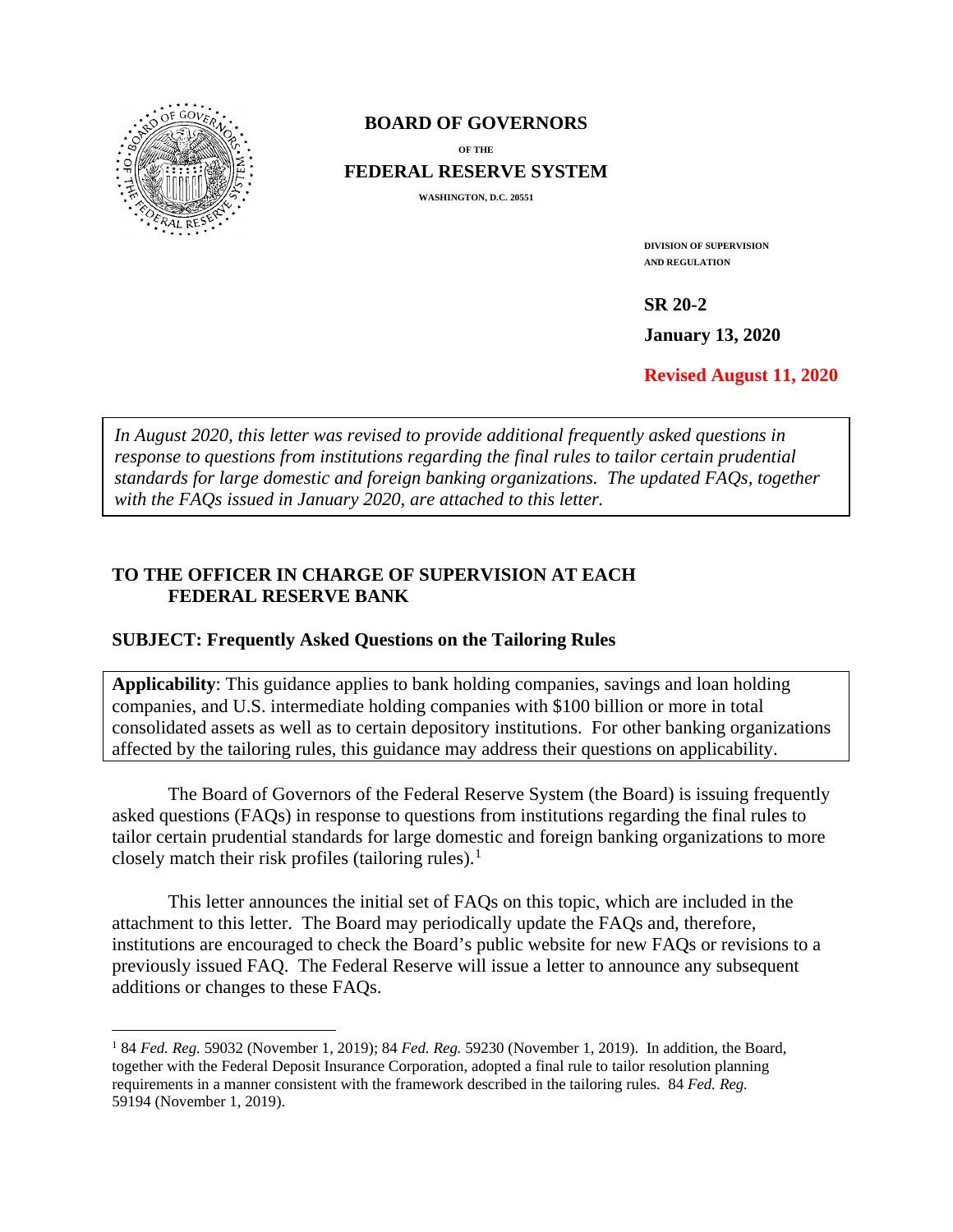

 $\overline{a}$ 

#### **BOARD OF GOVERNORS**

**OF THE FEDERAL RESERVE SYSTEM**

**WASHINGTON, D.C. 20551** 

**DIVISION OF SUPERVISION AND REGULATION**

**SR 20-2** 

**January 13, 2020** 

**Revised August 11, 2020** 

*In August 2020, this letter was revised to provide additional frequently asked questions in response to questions from institutions regarding the final rules to tailor certain prudential standards for large domestic and foreign banking organizations. The updated FAQs, together with the FAQs issued in January 2020, are attached to this letter.*

#### **TO THE OFFICER IN CHARGE OF SUPERVISION AT EACH FEDERAL RESERVE BANK**

#### **SUBJECT: Frequently Asked Questions on the Tailoring Rules**

**Applicability**: This guidance applies to bank holding companies, savings and loan holding companies, and U.S. intermediate holding companies with \$100 billion or more in total consolidated assets as well as to certain depository institutions. For other banking organizations affected by the tailoring rules, this guidance may address their questions on applicability.

The Board of Governors of the Federal Reserve System (the Board) is issuing frequently asked questions (FAQs) in response to questions from institutions regarding the final rules to tailor certain prudential standards for large domestic and foreign banking organizations to more closely match their risk profiles (tailoring rules).<sup>[1](#page-0-0)</sup>

This letter announces the initial set of FAQs on this topic, which are included in the attachment to this letter. The Board may periodically update the FAQs and, therefore, institutions are encouraged to check the Board's public website for new FAQs or revisions to a previously issued FAQ. The Federal Reserve will issue a letter to announce any subsequent additions or changes to these FAQs.

<span id="page-0-0"></span><sup>1</sup> 84 *Fed. Reg.* 59032 (November 1, 2019); 84 *Fed. Reg.* 59230 (November 1, 2019). In addition, the Board, together with the Federal Deposit Insurance Corporation, adopted a final rule to tailor resolution planning requirements in a manner consistent with the framework described in the tailoring rules. 84 *Fed. Reg.*  59194 (November 1, 2019).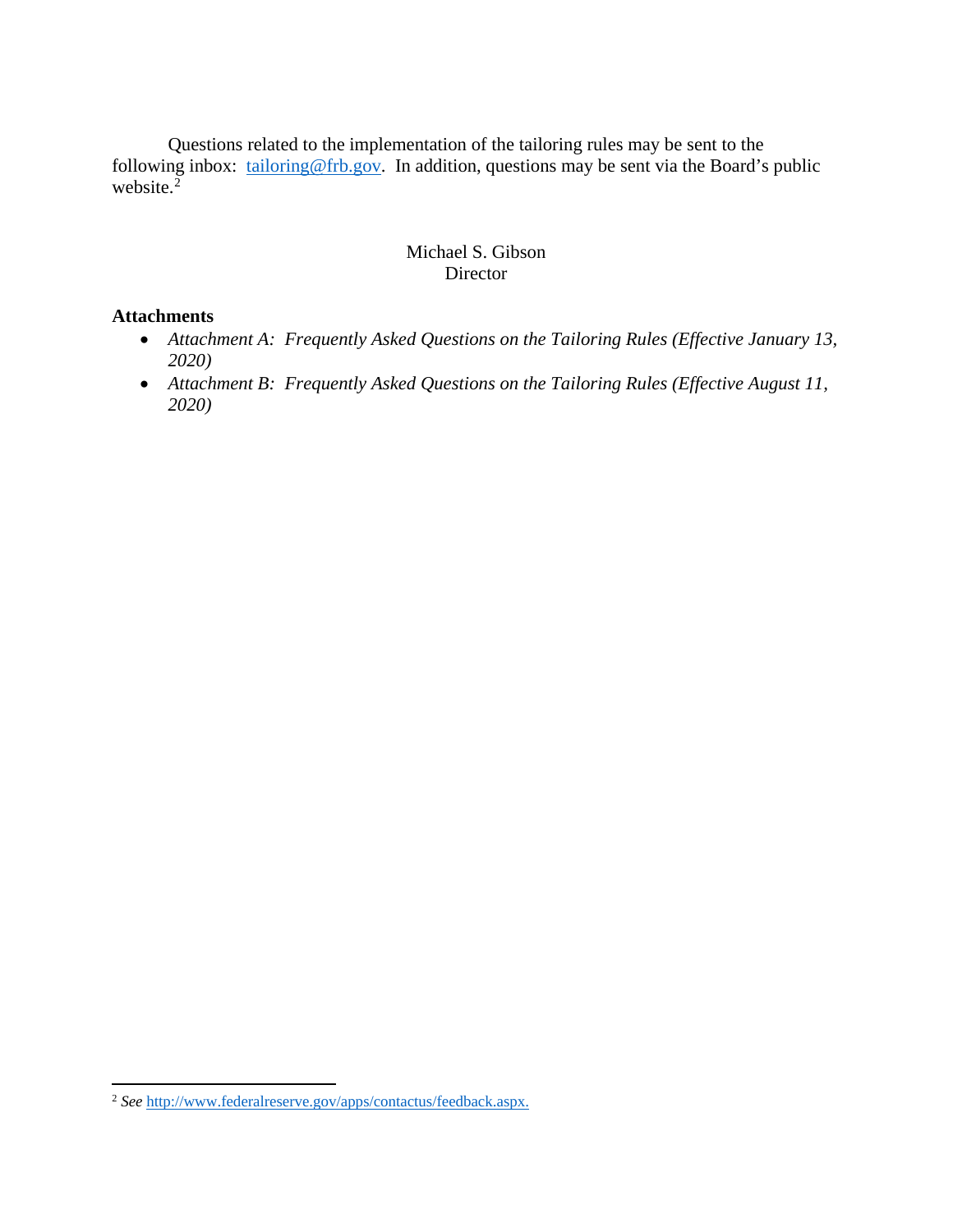Questions related to the implementation of the tailoring rules may be sent to the following inbox: [tailoring@frb.gov.](mailto:tailoring@frb.gov) In addition, questions may be sent via the Board's public website. $\frac{5}{2}$  $\frac{5}{2}$  $\frac{5}{2}$ 

#### Michael S. Gibson Director

#### **Attachments**

- *Attachment A: Frequently Asked Questions on the Tailoring Rules (Effective January 13, 2020)*
- *Attachment B: Frequently Asked Questions on the Tailoring Rules (Effective August 11, 2020)*

<span id="page-1-0"></span><sup>2</sup> *See* [http://www.federalreserve.gov/apps/contactus/feedback.aspx.](http://www.federalreserve.gov/apps/contactus/feedback.aspx)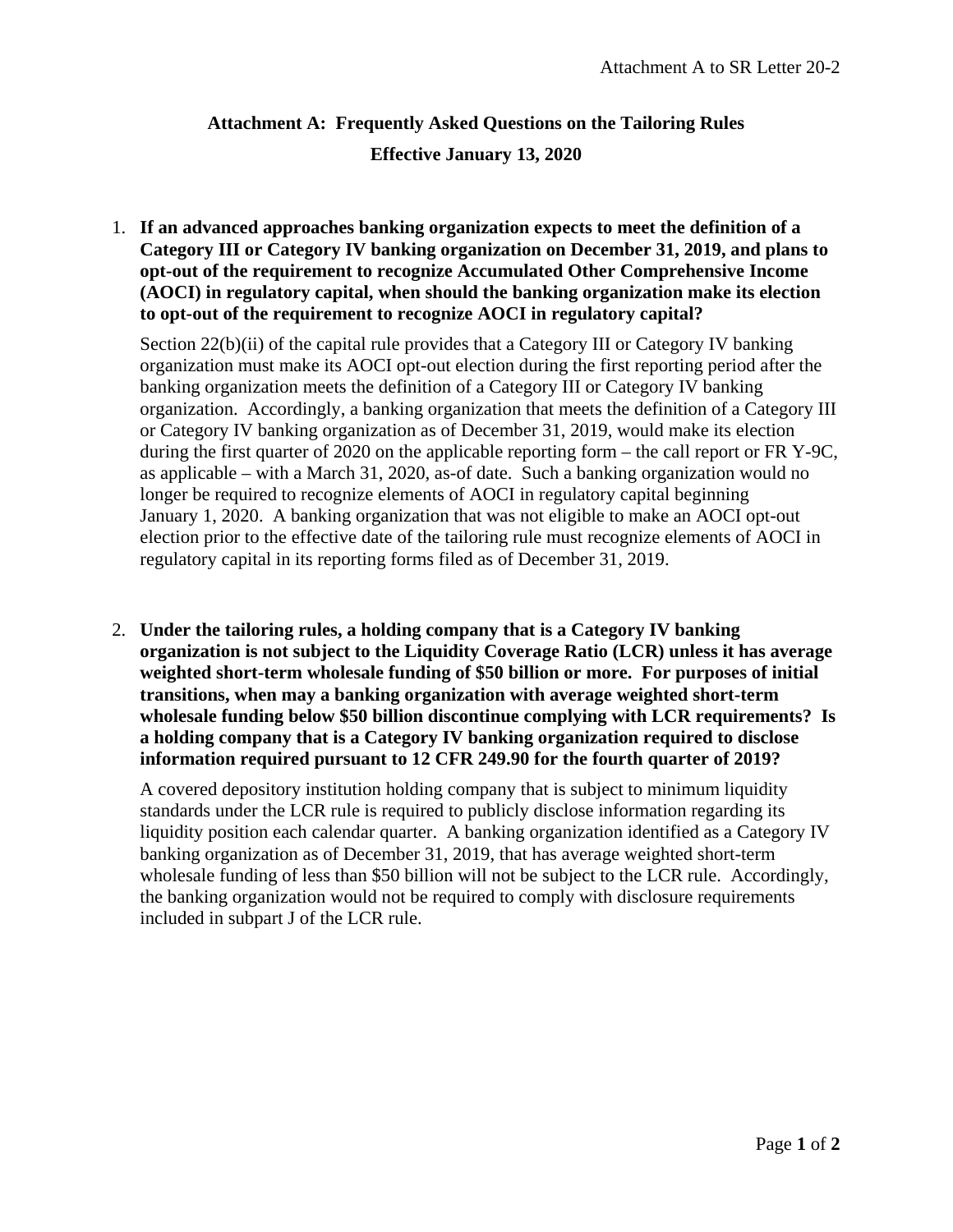# **Attachment A: Frequently Asked Questions on the Tailoring Rules Effective January 13, 2020**

1. **If an advanced approaches banking organization expects to meet the definition of a Category III or Category IV banking organization on December 31, 2019, and plans to opt-out of the requirement to recognize Accumulated Other Comprehensive Income (AOCI) in regulatory capital, when should the banking organization make its election to opt-out of the requirement to recognize AOCI in regulatory capital?** 

Section 22(b)(ii) of the capital rule provides that a Category III or Category IV banking organization must make its AOCI opt-out election during the first reporting period after the banking organization meets the definition of a Category III or Category IV banking organization. Accordingly, a banking organization that meets the definition of a Category III or Category IV banking organization as of December 31, 2019, would make its election during the first quarter of 2020 on the applicable reporting form – the call report or FR Y-9C, as applicable – with a March 31, 2020, as-of date. Such a banking organization would no longer be required to recognize elements of AOCI in regulatory capital beginning January 1, 2020. A banking organization that was not eligible to make an AOCI opt-out election prior to the effective date of the tailoring rule must recognize elements of AOCI in regulatory capital in its reporting forms filed as of December 31, 2019.

2. **Under the tailoring rules, a holding company that is a Category IV banking organization is not subject to the Liquidity Coverage Ratio (LCR) unless it has average weighted short-term wholesale funding of \$50 billion or more. For purposes of initial transitions, when may a banking organization with average weighted short-term wholesale funding below \$50 billion discontinue complying with LCR requirements? Is a holding company that is a Category IV banking organization required to disclose information required pursuant to 12 CFR 249.90 for the fourth quarter of 2019?**

A covered depository institution holding company that is subject to minimum liquidity standards under the LCR rule is required to publicly disclose information regarding its liquidity position each calendar quarter. A banking organization identified as a Category IV banking organization as of December 31, 2019, that has average weighted short-term wholesale funding of less than \$50 billion will not be subject to the LCR rule. Accordingly, the banking organization would not be required to comply with disclosure requirements included in subpart J of the LCR rule.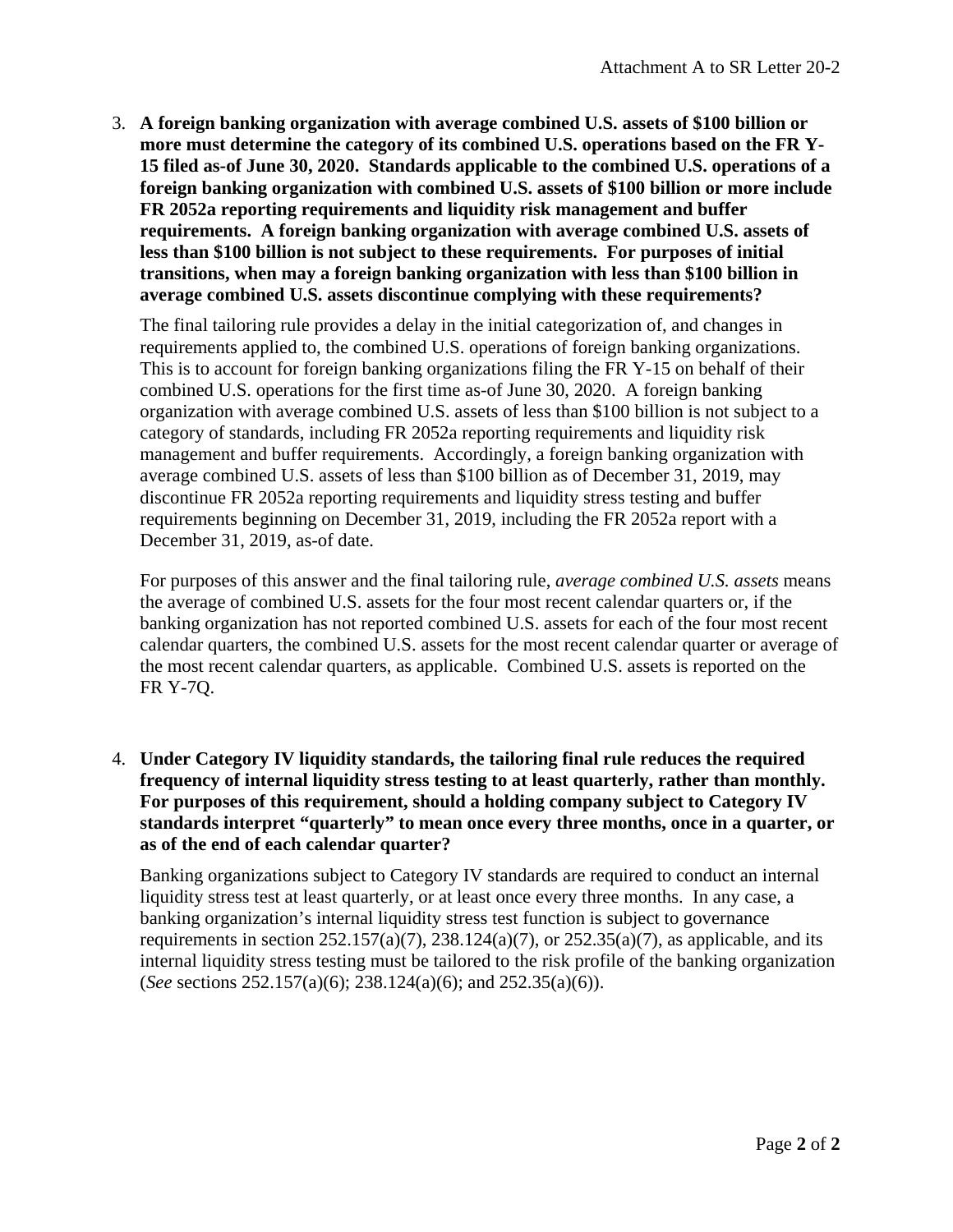3. **A foreign banking organization with average combined U.S. assets of \$100 billion or more must determine the category of its combined U.S. operations based on the FR Y-15 filed as-of June 30, 2020. Standards applicable to the combined U.S. operations of a foreign banking organization with combined U.S. assets of \$100 billion or more include FR 2052a reporting requirements and liquidity risk management and buffer requirements. A foreign banking organization with average combined U.S. assets of less than \$100 billion is not subject to these requirements. For purposes of initial transitions, when may a foreign banking organization with less than \$100 billion in average combined U.S. assets discontinue complying with these requirements?** 

The final tailoring rule provides a delay in the initial categorization of, and changes in requirements applied to, the combined U.S. operations of foreign banking organizations. This is to account for foreign banking organizations filing the FR Y-15 on behalf of their combined U.S. operations for the first time as-of June 30, 2020. A foreign banking organization with average combined U.S. assets of less than \$100 billion is not subject to a category of standards, including FR 2052a reporting requirements and liquidity risk management and buffer requirements. Accordingly, a foreign banking organization with average combined U.S. assets of less than \$100 billion as of December 31, 2019, may discontinue FR 2052a reporting requirements and liquidity stress testing and buffer requirements beginning on December 31, 2019, including the FR 2052a report with a December 31, 2019, as-of date.

For purposes of this answer and the final tailoring rule, *average combined U.S. assets* means the average of combined U.S. assets for the four most recent calendar quarters or, if the banking organization has not reported combined U.S. assets for each of the four most recent calendar quarters, the combined U.S. assets for the most recent calendar quarter or average of the most recent calendar quarters, as applicable. Combined U.S. assets is reported on the FR Y-7Q.

4. **Under Category IV liquidity standards, the tailoring final rule reduces the required frequency of internal liquidity stress testing to at least quarterly, rather than monthly. For purposes of this requirement, should a holding company subject to Category IV standards interpret "quarterly" to mean once every three months, once in a quarter, or as of the end of each calendar quarter?** 

Banking organizations subject to Category IV standards are required to conduct an internal liquidity stress test at least quarterly, or at least once every three months. In any case, a banking organization's internal liquidity stress test function is subject to governance requirements in section  $252.157(a)(7)$ ,  $238.124(a)(7)$ , or  $252.35(a)(7)$ , as applicable, and its internal liquidity stress testing must be tailored to the risk profile of the banking organization (*See* sections 252.157(a)(6); 238.124(a)(6); and 252.35(a)(6)).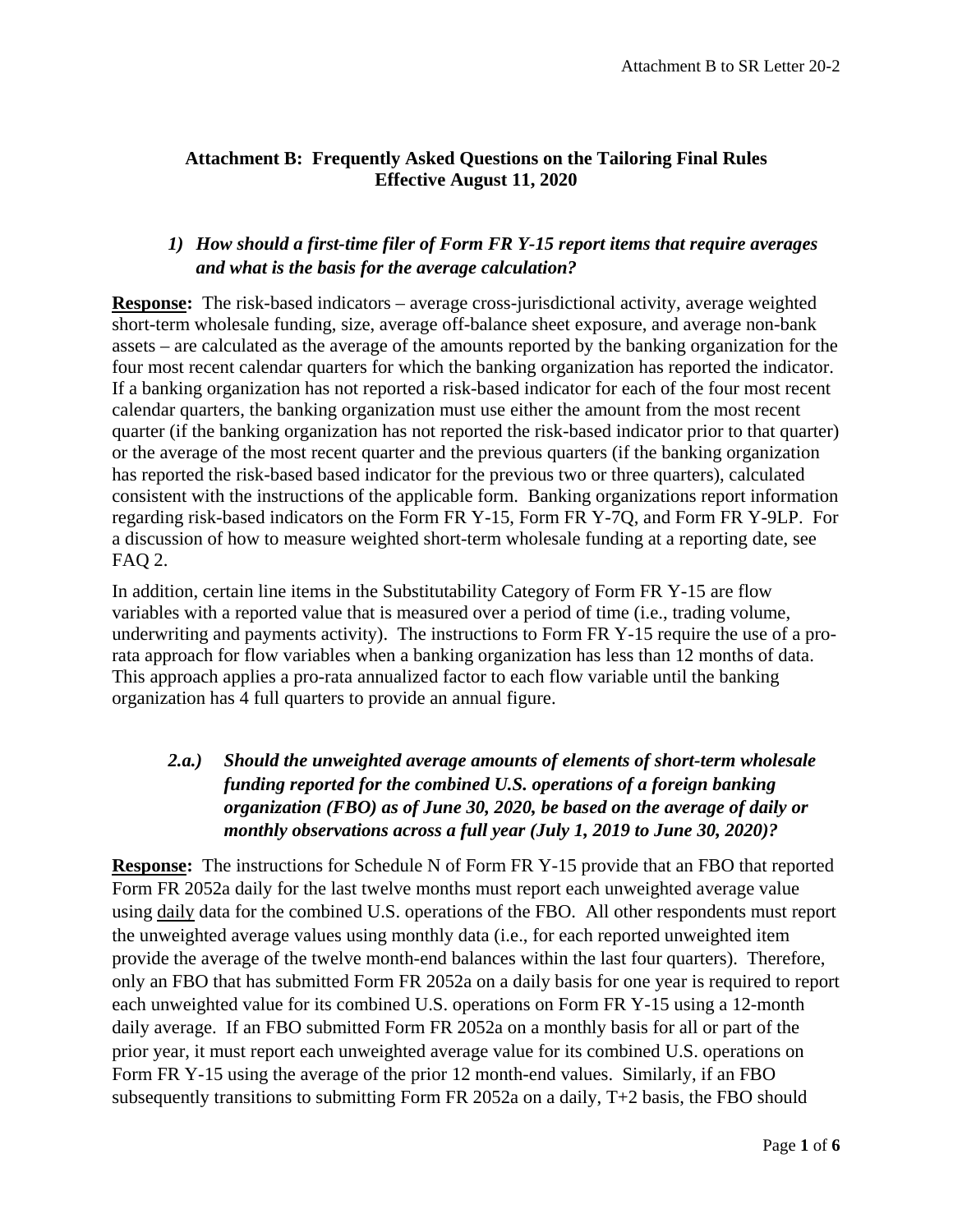#### **Attachment B: Frequently Asked Questions on the Tailoring Final Rules Effective August 11, 2020**

#### *1) How should a first-time filer of Form FR Y-15 report items that require averages and what is the basis for the average calculation?*

**Response:** The risk-based indicators – average cross-jurisdictional activity, average weighted short-term wholesale funding, size, average off-balance sheet exposure, and average non-bank assets – are calculated as the average of the amounts reported by the banking organization for the four most recent calendar quarters for which the banking organization has reported the indicator. If a banking organization has not reported a risk-based indicator for each of the four most recent calendar quarters, the banking organization must use either the amount from the most recent quarter (if the banking organization has not reported the risk-based indicator prior to that quarter) or the average of the most recent quarter and the previous quarters (if the banking organization has reported the risk-based based indicator for the previous two or three quarters), calculated consistent with the instructions of the applicable form. Banking organizations report information regarding risk-based indicators on the Form FR Y-15, Form FR Y-7Q, and Form FR Y-9LP. For a discussion of how to measure weighted short-term wholesale funding at a reporting date, see FAQ 2.

In addition, certain line items in the Substitutability Category of Form FR Y-15 are flow variables with a reported value that is measured over a period of time (i.e., trading volume, underwriting and payments activity). The instructions to Form FR Y-15 require the use of a prorata approach for flow variables when a banking organization has less than 12 months of data. This approach applies a pro-rata annualized factor to each flow variable until the banking organization has 4 full quarters to provide an annual figure.

# *2.a.) Should the unweighted average amounts of elements of short-term wholesale funding reported for the combined U.S. operations of a foreign banking organization (FBO) as of June 30, 2020, be based on the average of daily or monthly observations across a full year (July 1, 2019 to June 30, 2020)?*

**Response:** The instructions for Schedule N of Form FR Y-15 provide that an FBO that reported Form FR 2052a daily for the last twelve months must report each unweighted average value using daily data for the combined U.S. operations of the FBO. All other respondents must report the unweighted average values using monthly data (i.e., for each reported unweighted item provide the average of the twelve month-end balances within the last four quarters). Therefore, only an FBO that has submitted Form FR 2052a on a daily basis for one year is required to report each unweighted value for its combined U.S. operations on Form FR Y-15 using a 12-month daily average. If an FBO submitted Form FR 2052a on a monthly basis for all or part of the prior year, it must report each unweighted average value for its combined U.S. operations on Form FR Y-15 using the average of the prior 12 month-end values. Similarly, if an FBO subsequently transitions to submitting Form FR 2052a on a daily, T+2 basis, the FBO should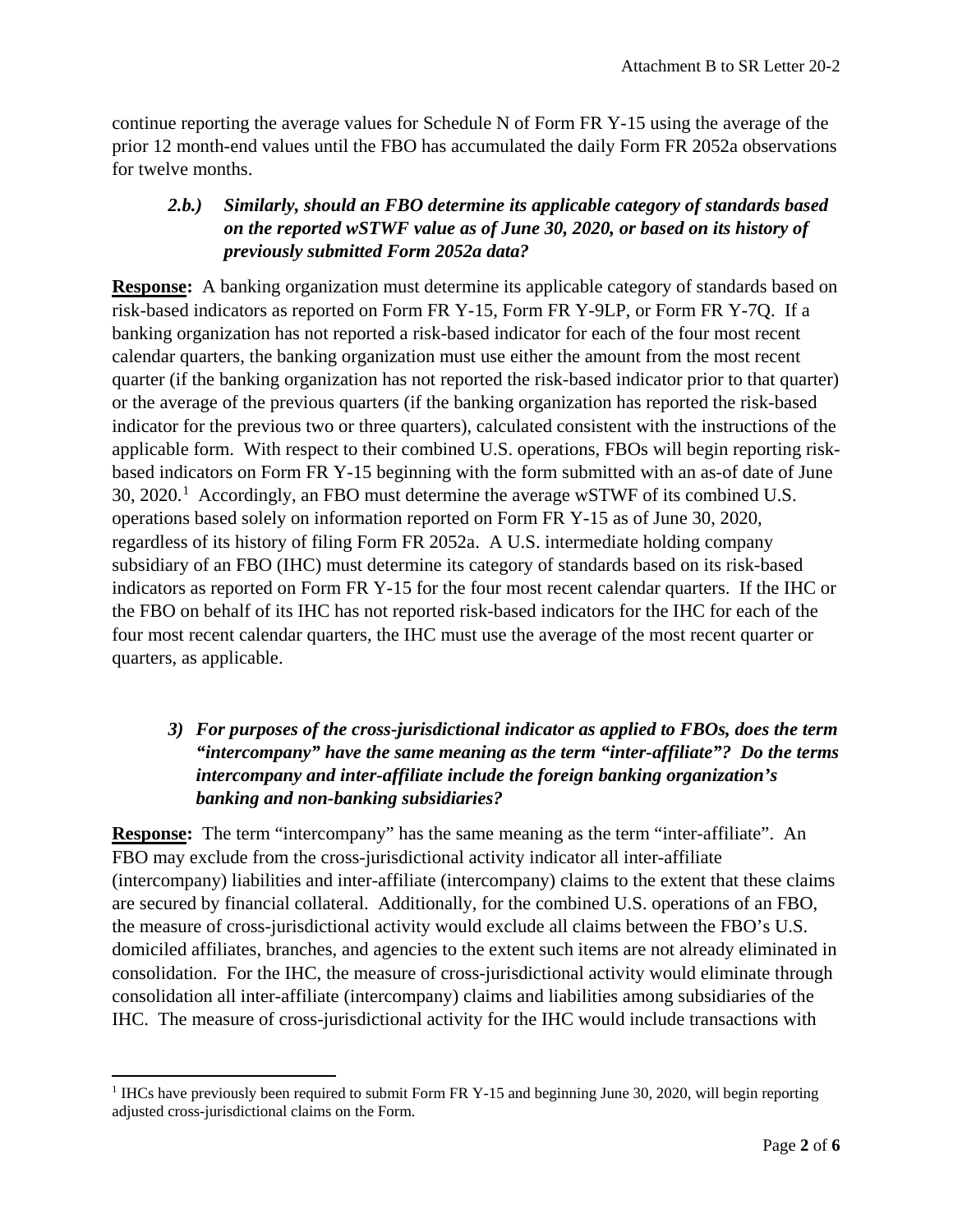continue reporting the average values for Schedule N of Form FR Y-15 using the average of the prior 12 month-end values until the FBO has accumulated the daily Form FR 2052a observations for twelve months.

### *2.b.) Similarly, should an FBO determine its applicable category of standards based on the reported wSTWF value as of June 30, 2020, or based on its history of previously submitted Form 2052a data?*

**Response:** A banking organization must determine its applicable category of standards based on risk-based indicators as reported on Form FR Y-15, Form FR Y-9LP, or Form FR Y-7Q. If a banking organization has not reported a risk-based indicator for each of the four most recent calendar quarters, the banking organization must use either the amount from the most recent quarter (if the banking organization has not reported the risk-based indicator prior to that quarter) or the average of the previous quarters (if the banking organization has reported the risk-based indicator for the previous two or three quarters), calculated consistent with the instructions of the applicable form. With respect to their combined U.S. operations, FBOs will begin reporting riskbased indicators on Form FR Y-15 beginning with the form submitted with an as-of date of June 30, 2020.<sup>[1](#page-5-0)</sup> Accordingly, an FBO must determine the average wSTWF of its combined U.S. operations based solely on information reported on Form FR Y-15 as of June 30, 2020, regardless of its history of filing Form FR 2052a. A U.S. intermediate holding company subsidiary of an FBO (IHC) must determine its category of standards based on its risk-based indicators as reported on Form FR Y-15 for the four most recent calendar quarters. If the IHC or the FBO on behalf of its IHC has not reported risk-based indicators for the IHC for each of the four most recent calendar quarters, the IHC must use the average of the most recent quarter or quarters, as applicable.

### *3) For purposes of the cross-jurisdictional indicator as applied to FBOs, does the term "intercompany" have the same meaning as the term "inter-affiliate"? Do the terms intercompany and inter-affiliate include the foreign banking organization's banking and non-banking subsidiaries?*

**Response:** The term "intercompany" has the same meaning as the term "inter-affiliate". An FBO may exclude from the cross-jurisdictional activity indicator all inter-affiliate (intercompany) liabilities and inter-affiliate (intercompany) claims to the extent that these claims are secured by financial collateral. Additionally, for the combined U.S. operations of an FBO, the measure of cross-jurisdictional activity would exclude all claims between the FBO's U.S. domiciled affiliates, branches, and agencies to the extent such items are not already eliminated in consolidation. For the IHC, the measure of cross-jurisdictional activity would eliminate through consolidation all inter-affiliate (intercompany) claims and liabilities among subsidiaries of the IHC. The measure of cross-jurisdictional activity for the IHC would include transactions with

 $\overline{\phantom{a}}$ 

<span id="page-5-0"></span><sup>&</sup>lt;sup>1</sup> IHCs have previously been required to submit Form FR Y-15 and beginning June 30, 2020, will begin reporting adjusted cross-jurisdictional claims on the Form.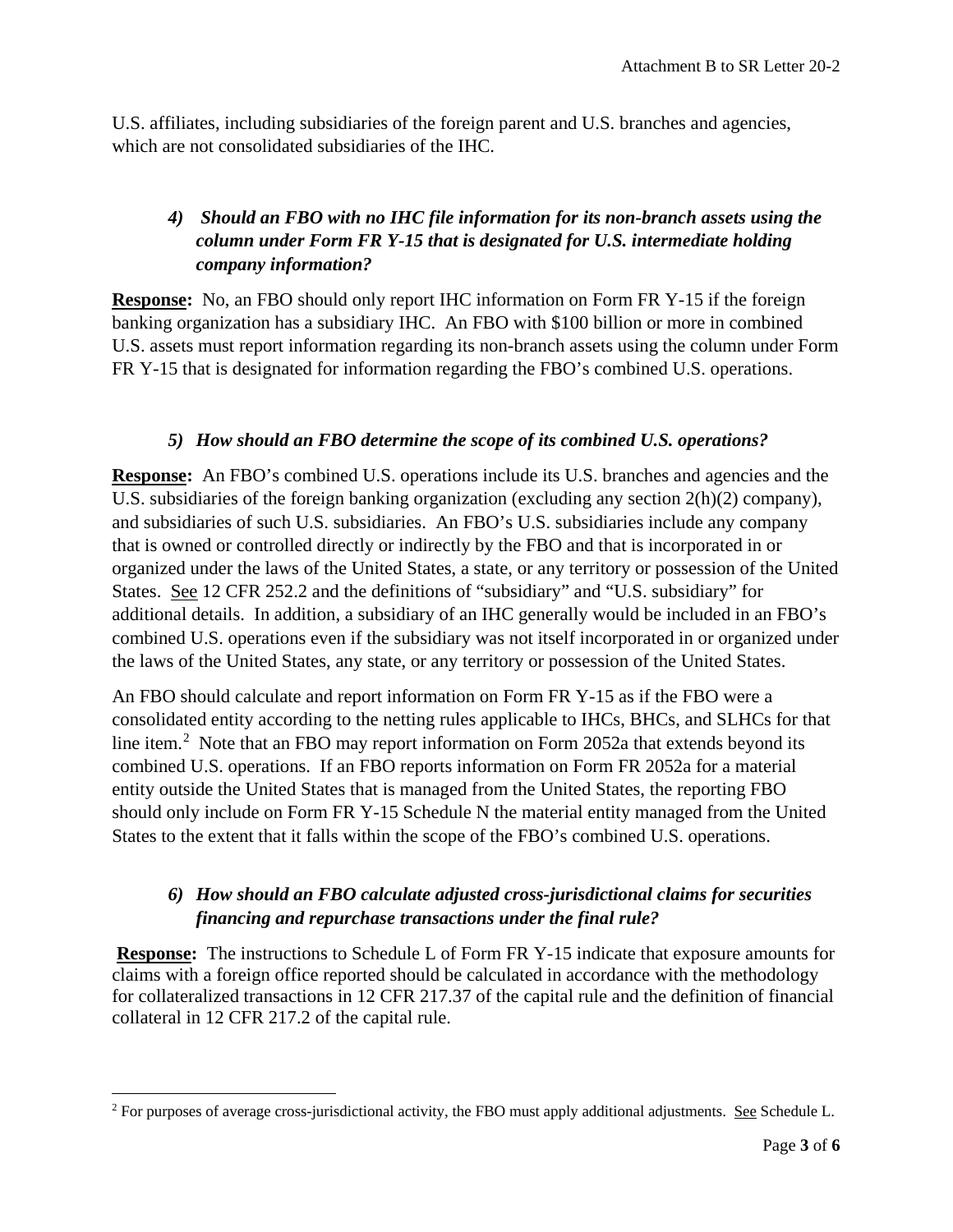U.S. affiliates, including subsidiaries of the foreign parent and U.S. branches and agencies, which are not consolidated subsidiaries of the IHC.

# *4) Should an FBO with no IHC file information for its non-branch assets using the column under Form FR Y-15 that is designated for U.S. intermediate holding company information?*

**Response:** No, an FBO should only report IHC information on Form FR Y-15 if the foreign banking organization has a subsidiary IHC. An FBO with \$100 billion or more in combined U.S. assets must report information regarding its non-branch assets using the column under Form FR Y-15 that is designated for information regarding the FBO's combined U.S. operations.

### *5) How should an FBO determine the scope of its combined U.S. operations?*

**Response:** An FBO's combined U.S. operations include its U.S. branches and agencies and the U.S. subsidiaries of the foreign banking organization (excluding any section 2(h)(2) company), and subsidiaries of such U.S. subsidiaries. An FBO's U.S. subsidiaries include any company that is owned or controlled directly or indirectly by the FBO and that is incorporated in or organized under the laws of the United States, a state, or any territory or possession of the United States. See 12 CFR 252.2 and the definitions of "subsidiary" and "U.S. subsidiary" for additional details. In addition, a subsidiary of an IHC generally would be included in an FBO's combined U.S. operations even if the subsidiary was not itself incorporated in or organized under the laws of the United States, any state, or any territory or possession of the United States.

An FBO should calculate and report information on Form FR Y-15 as if the FBO were a consolidated entity according to the netting rules applicable to IHCs, BHCs, and SLHCs for that line item.<sup>[2](#page-6-0)</sup> Note that an FBO may report information on Form 2052a that extends beyond its combined U.S. operations. If an FBO reports information on Form FR 2052a for a material entity outside the United States that is managed from the United States, the reporting FBO should only include on Form FR Y-15 Schedule N the material entity managed from the United States to the extent that it falls within the scope of the FBO's combined U.S. operations.

# *6) How should an FBO calculate adjusted cross-jurisdictional claims for securities financing and repurchase transactions under the final rule?*

**Response:** The instructions to Schedule L of Form FR Y-15 indicate that exposure amounts for claims with a foreign office reported should be calculated in accordance with the methodology for collateralized transactions in 12 CFR 217.37 of the capital rule and the definition of financial collateral in 12 CFR 217.2 of the capital rule.

<span id="page-6-0"></span>l <sup>2</sup> For purposes of average cross-jurisdictional activity, the FBO must apply additional adjustments. See Schedule L.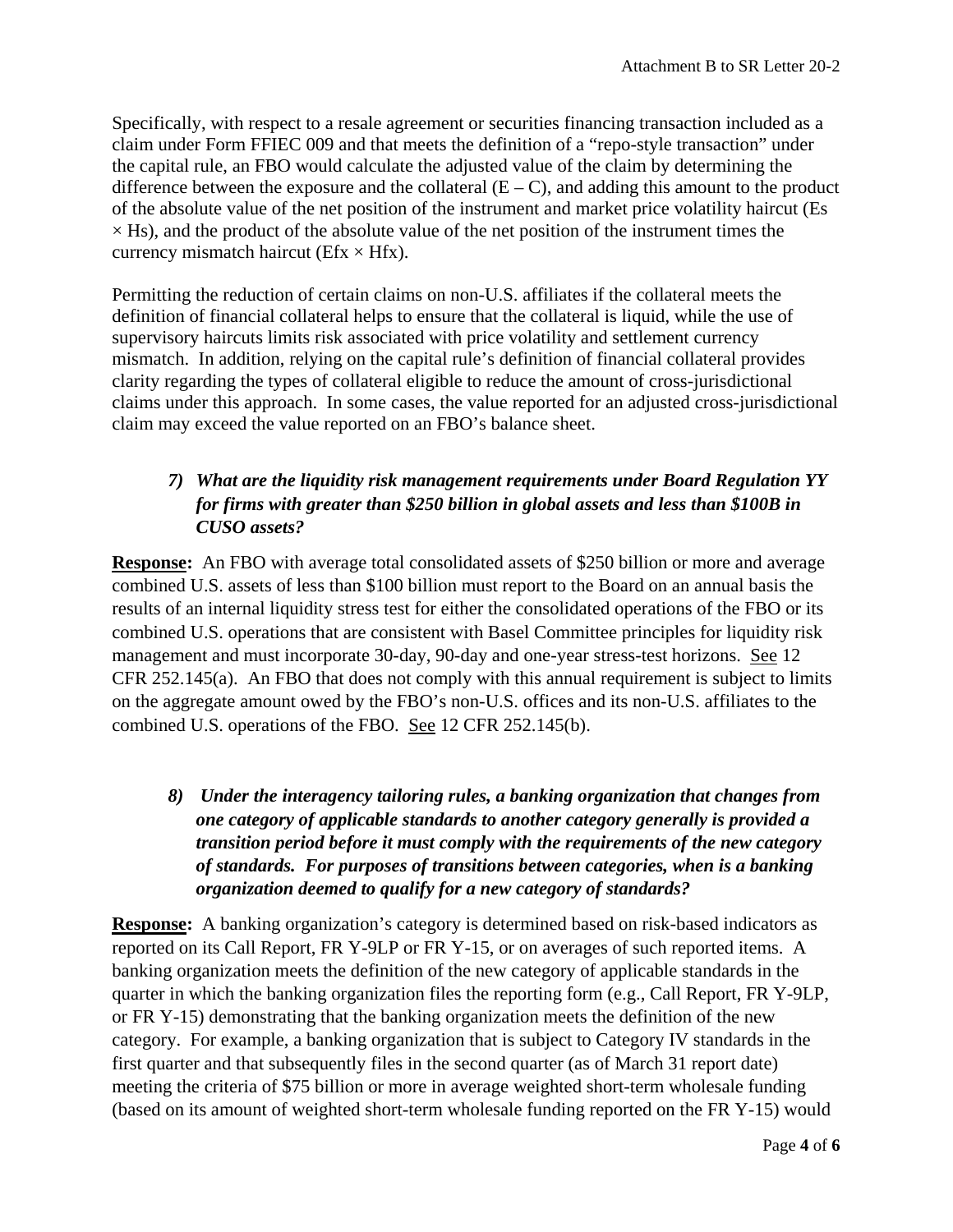Specifically, with respect to a resale agreement or securities financing transaction included as a claim under Form FFIEC 009 and that meets the definition of a "repo-style transaction" under the capital rule, an FBO would calculate the adjusted value of the claim by determining the difference between the exposure and the collateral  $(E - C)$ , and adding this amount to the product of the absolute value of the net position of the instrument and market price volatility haircut (Es  $\times$  Hs), and the product of the absolute value of the net position of the instrument times the currency mismatch haircut ( $Efx \times Hfx$ ).

Permitting the reduction of certain claims on non-U.S. affiliates if the collateral meets the definition of financial collateral helps to ensure that the collateral is liquid, while the use of supervisory haircuts limits risk associated with price volatility and settlement currency mismatch. In addition, relying on the capital rule's definition of financial collateral provides clarity regarding the types of collateral eligible to reduce the amount of cross-jurisdictional claims under this approach. In some cases, the value reported for an adjusted cross-jurisdictional claim may exceed the value reported on an FBO's balance sheet.

# *7) What are the liquidity risk management requirements under Board Regulation YY for firms with greater than \$250 billion in global assets and less than \$100B in CUSO assets?*

**Response:** An FBO with average total consolidated assets of \$250 billion or more and average combined U.S. assets of less than \$100 billion must report to the Board on an annual basis the results of an internal liquidity stress test for either the consolidated operations of the FBO or its combined U.S. operations that are consistent with Basel Committee principles for liquidity risk management and must incorporate 30-day, 90-day and one-year stress-test horizons. See 12 CFR 252.145(a). An FBO that does not comply with this annual requirement is subject to limits on the aggregate amount owed by the FBO's non-U.S. offices and its non-U.S. affiliates to the combined U.S. operations of the FBO. See 12 CFR 252.145(b).

*8) Under the interagency tailoring rules, a banking organization that changes from one category of applicable standards to another category generally is provided a transition period before it must comply with the requirements of the new category of standards. For purposes of transitions between categories, when is a banking organization deemed to qualify for a new category of standards?* 

**Response:** A banking organization's category is determined based on risk-based indicators as reported on its Call Report, FR Y-9LP or FR Y-15, or on averages of such reported items. A banking organization meets the definition of the new category of applicable standards in the quarter in which the banking organization files the reporting form (e.g., Call Report, FR Y-9LP, or FR Y-15) demonstrating that the banking organization meets the definition of the new category. For example, a banking organization that is subject to Category IV standards in the first quarter and that subsequently files in the second quarter (as of March 31 report date) meeting the criteria of \$75 billion or more in average weighted short-term wholesale funding (based on its amount of weighted short-term wholesale funding reported on the FR Y-15) would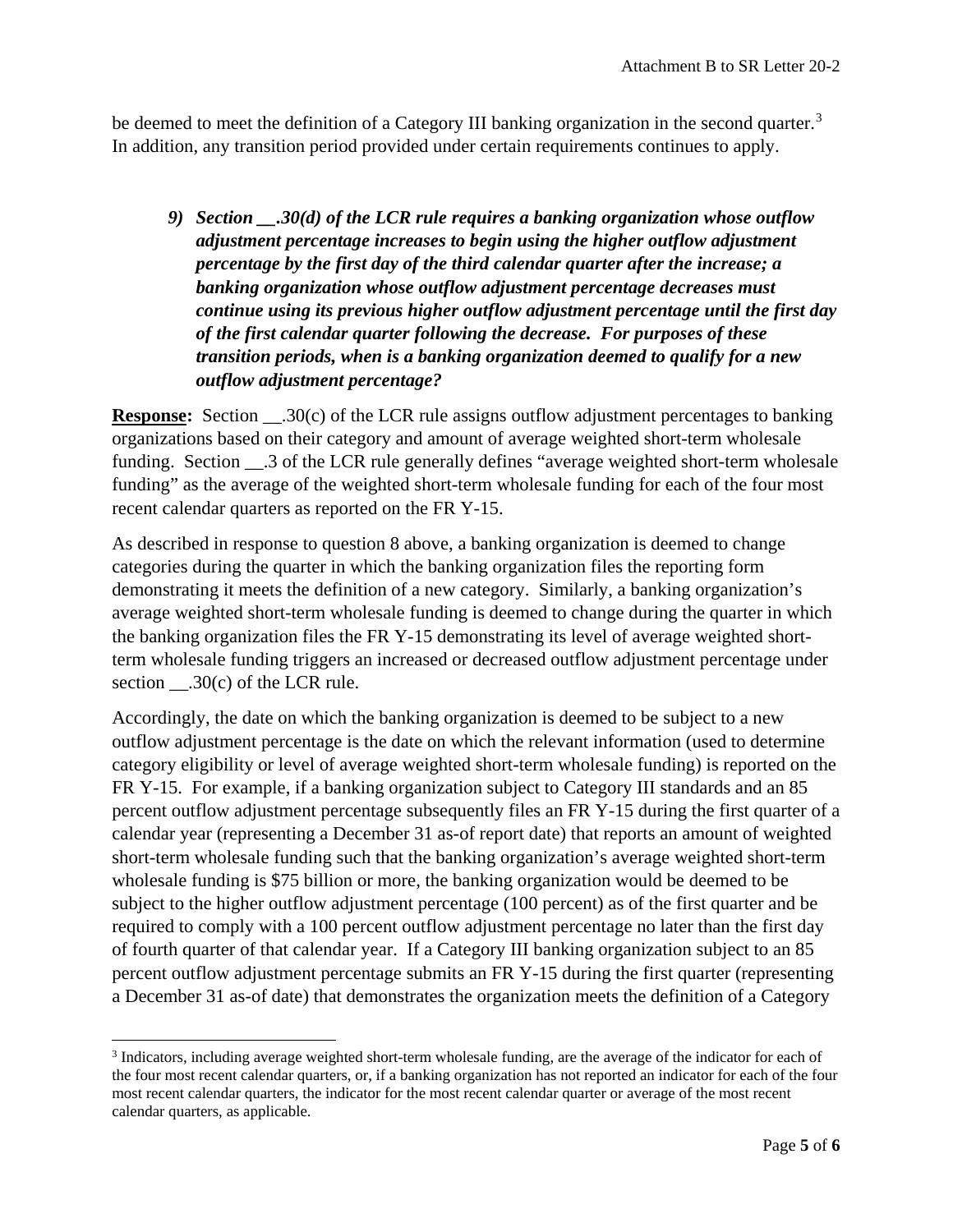be deemed to meet the definition of a Category III banking organization in the second quarter.<sup>[3](#page-8-0)</sup> In addition, any transition period provided under certain requirements continues to apply.

*9) Section \_\_.30(d) of the LCR rule requires a banking organization whose outflow adjustment percentage increases to begin using the higher outflow adjustment percentage by the first day of the third calendar quarter after the increase; a banking organization whose outflow adjustment percentage decreases must continue using its previous higher outflow adjustment percentage until the first day of the first calendar quarter following the decrease. For purposes of these transition periods, when is a banking organization deemed to qualify for a new outflow adjustment percentage?*

**Response:** Section  $.30(c)$  of the LCR rule assigns outflow adjustment percentages to banking organizations based on their category and amount of average weighted short-term wholesale funding. Section \_\_.3 of the LCR rule generally defines "average weighted short-term wholesale funding" as the average of the weighted short-term wholesale funding for each of the four most recent calendar quarters as reported on the FR Y-15.

As described in response to question 8 above, a banking organization is deemed to change categories during the quarter in which the banking organization files the reporting form demonstrating it meets the definition of a new category. Similarly, a banking organization's average weighted short-term wholesale funding is deemed to change during the quarter in which the banking organization files the FR Y-15 demonstrating its level of average weighted shortterm wholesale funding triggers an increased or decreased outflow adjustment percentage under section \_\_\_.30(c) of the LCR rule.

Accordingly, the date on which the banking organization is deemed to be subject to a new outflow adjustment percentage is the date on which the relevant information (used to determine category eligibility or level of average weighted short-term wholesale funding) is reported on the FR Y-15. For example, if a banking organization subject to Category III standards and an 85 percent outflow adjustment percentage subsequently files an FR Y-15 during the first quarter of a calendar year (representing a December 31 as-of report date) that reports an amount of weighted short-term wholesale funding such that the banking organization's average weighted short-term wholesale funding is \$75 billion or more, the banking organization would be deemed to be subject to the higher outflow adjustment percentage (100 percent) as of the first quarter and be required to comply with a 100 percent outflow adjustment percentage no later than the first day of fourth quarter of that calendar year. If a Category III banking organization subject to an 85 percent outflow adjustment percentage submits an FR Y-15 during the first quarter (representing a December 31 as-of date) that demonstrates the organization meets the definition of a Category

l

<span id="page-8-0"></span><sup>3</sup> Indicators, including average weighted short-term wholesale funding, are the average of the indicator for each of the four most recent calendar quarters, or, if a banking organization has not reported an indicator for each of the four most recent calendar quarters, the indicator for the most recent calendar quarter or average of the most recent calendar quarters, as applicable.